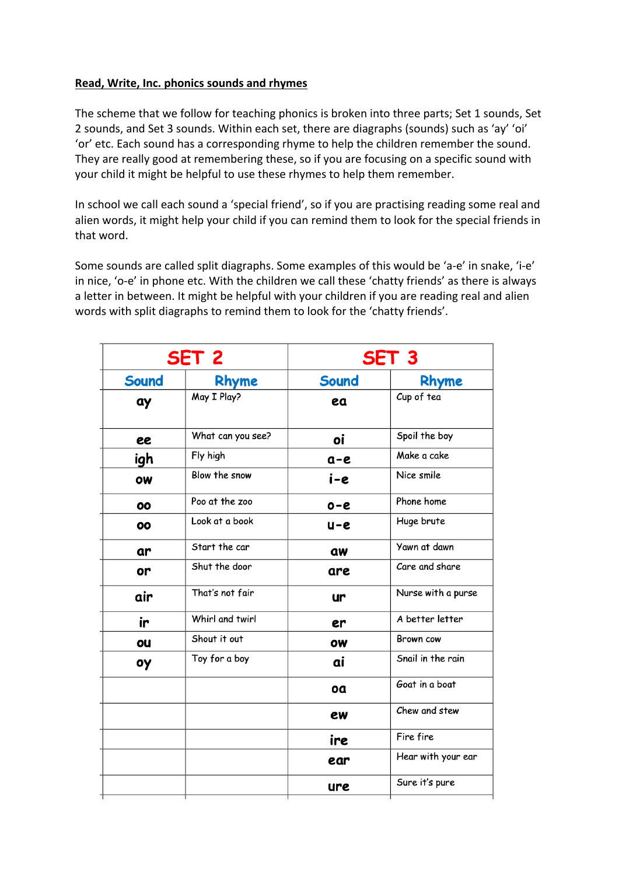## **Read, Write, Inc. phonics sounds and rhymes**

The scheme that we follow for teaching phonics is broken into three parts; Set 1 sounds, Set 2 sounds, and Set 3 sounds. Within each set, there are diagraphs (sounds) such as 'ay' 'oi' 'or' etc. Each sound has a corresponding rhyme to help the children remember the sound. They are really good at remembering these, so if you are focusing on a specific sound with your child it might be helpful to use these rhymes to help them remember.

In school we call each sound a 'special friend', so if you are practising reading some real and alien words, it might help your child if you can remind them to look for the special friends in that word.

Some sounds are called split diagraphs. Some examples of this would be 'a-e' in snake, 'i-e' in nice, 'o-e' in phone etc. With the children we call these 'chatty friends' as there is always a letter in between. It might be helpful with your children if you are reading real and alien words with split diagraphs to remind them to look for the 'chatty friends'.

| SET <sub>2</sub> |                   | SET <sub>3</sub> |                    |
|------------------|-------------------|------------------|--------------------|
| <b>Sound</b>     | Rhyme             | Sound            | Rhyme              |
| ay               | May I Play?       | ea               | Cup of tea         |
| ee               | What can you see? | oi               | Spoil the boy      |
| igh              | Fly high          | $a-e$            | Make a cake        |
| OW               | Blow the snow     | i-e              | Nice smile         |
| 00               | Poo at the zoo    | $O - C$          | Phone home         |
| 00               | Look at a book    | $U - C$          | Huge brute         |
| ar               | Start the car     | aw               | Yawn at dawn       |
| or               | Shut the door     | are              | Care and share     |
| air              | That's not fair   | ur               | Nurse with a purse |
| ir               | Whirl and twirl   | er               | A better letter    |
| ou               | Shout it out      | <b>OW</b>        | Brown cow          |
| οу               | Toy for a boy     | ai               | Snail in the rain  |
|                  |                   | oa               | Goat in a boat     |
|                  |                   | ew               | Chew and stew      |
|                  |                   | ire              | Fire fire          |
|                  |                   | ear              | Hear with your ear |
|                  |                   | ure              | Sure it's pure     |